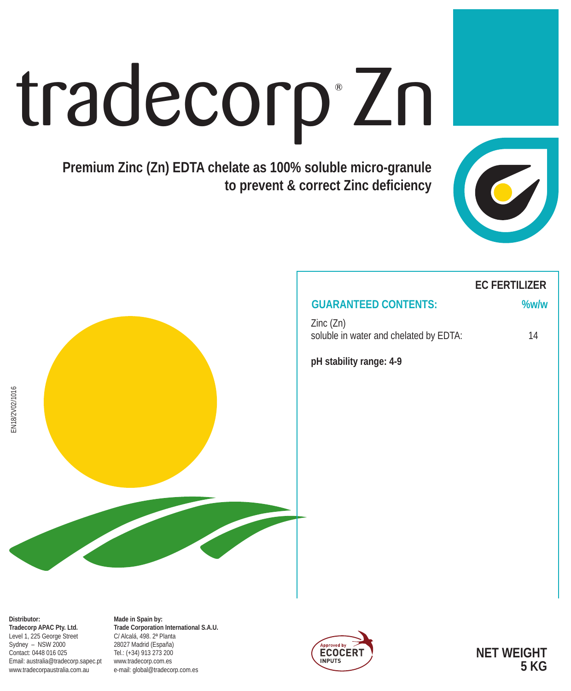# tradecorp Zn

**Premium Zinc (Zn) EDTA chelate as 100% soluble micro-granule to prevent & correct Zinc deficiency**



# **EC FERTILIZER**

## **GUARANTEED CONTENTS: %w/w**

Zinc (Zn) soluble in water and chelated by EDTA: 14

**pH stability range: 4-9**



**Distributor: Tradecorp APAC Pty. Ltd.** Level 1, 225 George Street Sydney – NSW 2000 Contact: 0448 016 025 Email: australia@tradecorp.sapec.pt www.tradecorpaustralia.com.au

**Made in Spain by: Trade Corporation International S.A.U.** C/ Alcalá, 498. 2ª Planta 28027 Madrid (España) Tel.: (+34) 913 273 200 www.tradecorp.com.es e-mail: global@tradecorp.com.es



**NET WEIGHT 5 KG**